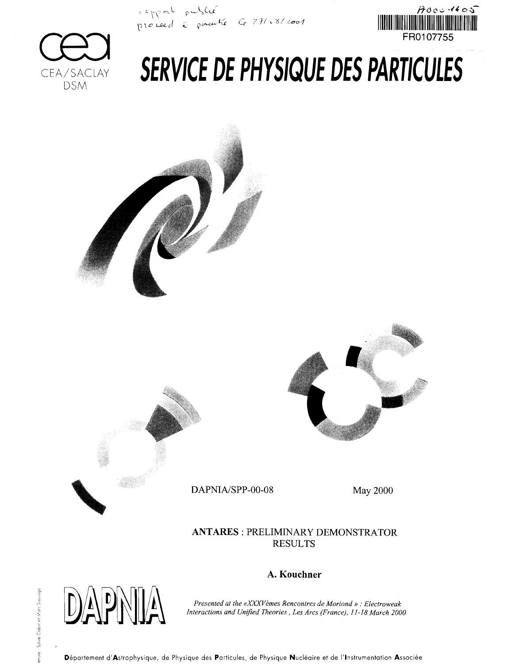•> *^y.ct^y^x <~e* **<sup>G</sup>** *?'!/ <.\*f m*





# SERVICE DE PHYSIQUE DES PARTICULES







DAPNIA/SPP-00-08 May 2000

### **ANTARES** : PRELIMINARY DEMONSTRATOR RESULTS



## **A. Kouchner**

*Presented at the «XXXVèmes Rencontres de Moriond » : Electroweak Interactions and Unified Theories, Les Arcs (France), 11-18 March 2000*

Département d'Astrophysique, de Physique des Particules, de Physique Nucléaire et de l'Instrumentation Associée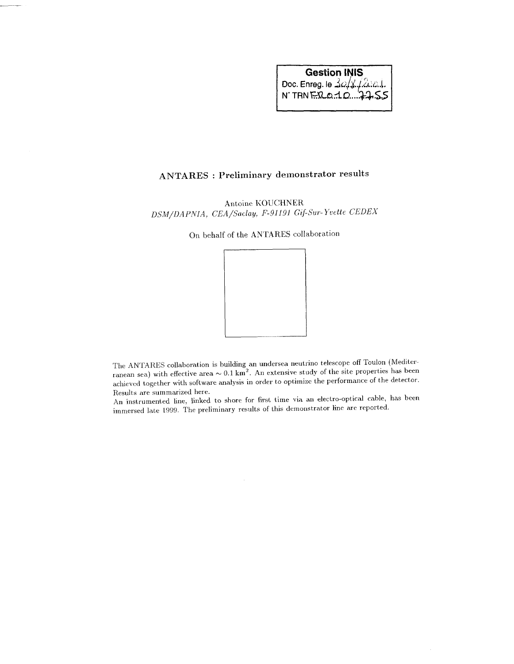# Gestion INIS Doc. Enreg. le ^

# ANTARES : Preliminary demonstrator results

Antoine KOUCHNER *DSM/DAPNIA, CEA/Saday, F-91191 Gif-Sur-Yvette CEDEX*

On behalf of the ANTARES collaboration



The ANTARES collaboration is building an undersea neutrino telescope off Toulon (Mediterranean sea) with effective area  $\sim 0.1 \text{ km}^2$ . An extensive study of the site properties has been achieved together with software analysis in order to optimize the performance of the detector. Results are summarized here.

An instrumented line, linked to shore for first time via an electro-optical cable, has been immersed late 1999. The preliminary results of this demonstrator line are reported.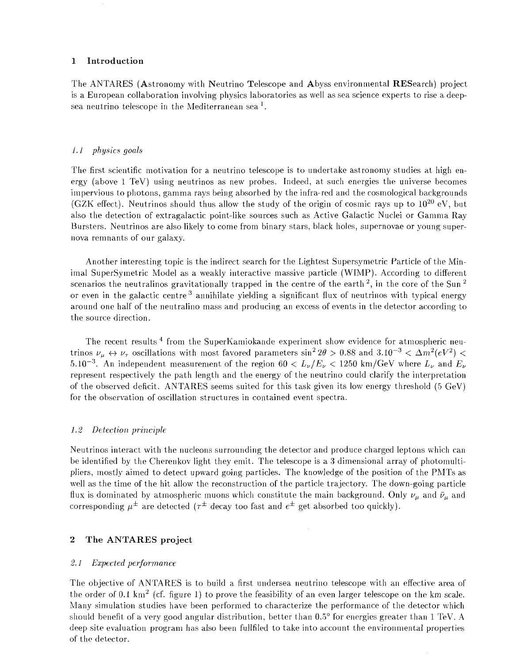#### **1 Introduction**

The ANTARES (Astronomy with Neutrino Telescope and Abyss environmental RESearch) project is a European collaboration involving physics laboratories as well as sea science experts to rise a deepsea neutrino telescope in the Mediterranean sea $^1.$ 

#### *l.J physics goals*

The first scientific motivation for a neutrino telescope is to undertake astronomy studies at high energy (above 1 TeV) using neutrinos as new probes. Indeed, at such energies the universe becomes impervious to photons, gamma rays being absorbed by the infra-red and the cosmological backgrounds (GZK effect). Neutrinos should thus allow the study of the origin of cosmic rays up to  $10^{20}$  eV, but also the detection of extragalactic point-like sources such as Active Galactic Nuclei or Gamma Ray Bursters. Neutrinos are also likely to come from binary stars, black holes, supernovae or young supernova remnants of our galaxy.

Another interesting topic is the indirect search for the Lightest Supersymetric Particle of the Minimal SuperSymetric Model as a weakly interactive massive particle (WIMP). According to different scenarios the neutralinos gravitationally trapped in the centre of the earth  $^2,$  in the core of the Sun  $^2$ or even in the galactic centre  $^3$  annihilate yielding a significant flux of neutrinos with typical energy around one half of the neutralino mass and producing an excess of events in the detector according to the source direction.

The recent results<sup>4</sup> from the SuperKamiokande experiment show evidence for atmospheric neutrinos  $\nu_\mu \leftrightarrow \nu_\tau$  oscillations with most favored parameters  $\sin^2 2\theta > 0.88$  and  $3.10^{-3} < \Delta m^2 (eV^2) <$  $5.10^{-3}$ . An independent measurement of the region 60  $< L_{\nu}/E_{\nu} < 1250$  km/GeV where  $L_{\nu}$  and  $E_{\nu}$ represent respectively the path length and the energy of the neutrino could clarify the interpretation of the observed deficit. ANTARES seems suited for this task given its low energy threshold (5 GeV) for the observation of oscillation structures in contained event spectra.

#### *1.2 Detection principle*

Neutrinos interact with the nucleons surrounding the detector and produce charged leptons which can be identified by the Cherenkov light they emit. The telescope is a 3 dimensional array of photomultipliers, mostly aimed to detect upward going particles. The knowledge of the position of the PMTs as well as the time of the hit allow the reconstruction of the particle trajectory. The down-going particle flux is dominated by atmospheric muons which constitute the main background. Only  $\nu_\mu$  and  $\bar{\nu}_\mu$  and corresponding  $\mu^{\pm}$  are detected ( $\tau^{\pm}$  decay too fast and  $e^{\pm}$  get absorbed too quickly).

#### **2 The ANTARES project**

#### *2.1 Expected performance*

The objective of ANTARES is to build a first undersea neutrino telescope with an effective area of the order of 0.1 km<sup>2</sup> (cf. figure 1) to prove the feasibility of an even larger telescope on the km scale. Many simulation studies have been performed to characterize the performance of the detector which should benefit of a very good angular distribution, better than 0.5° for energies greater than 1 TeV. A deep site evaluation program has also been fullfiled to take into account the environmental properties of the detector.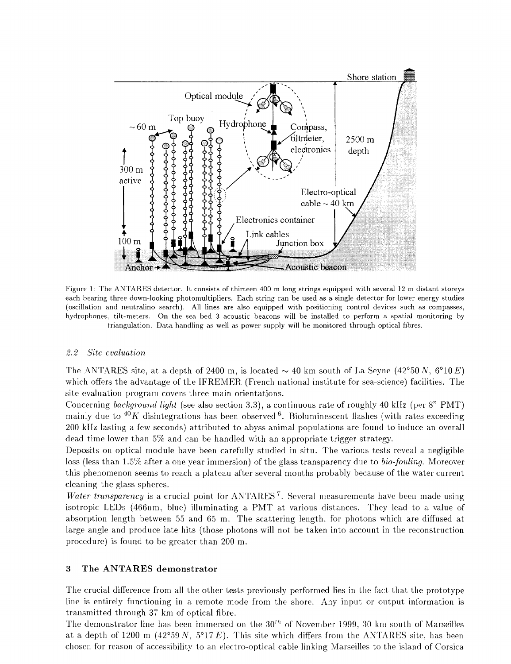

Figure 1: The ANTARES detector. It consists of thirteen 400 m long strings equipped with several 12 m distant storeys each bearing three down-looking photomultipliers. Each string can be used as a single detector for lower energy studies (oscillation and neutralino search). All lines are also equipped with positioning control devices such as compasses, hydrophones, tilt-meters. On the sea bed 3 acoustic beacons will be installed to perform a spatial monitoring by triangulation. Data handling as well as power supply will be monitored through optical fibres.

#### *2.2 Site evaluation*

The ANTARES site, at a depth of 2400 m, is located  $\sim$  40 km south of La Seyne (42°50 N, 6°10 E) which offers the advantage of the IFREMER (French national institute for sea-science) facilities. The site evaluation program covers three main orientations.

Concerning *background light* (see also section 3.3), a continuous rate of roughly 40 kHz (per 8" PMT) mainly due to *<sup>40</sup>K* disintegrations has been observed 6 . Bioluminescent flashes (with rates exceeding 200 kHz lasting a few seconds) attributed to abyss animal populations are found to induce an overall dead time lower than 5% and can be handled with an appropriate trigger strategy.

Deposits on optical module have been carefully studied in situ. The various tests reveal a negligible loss (less than 1.5% after a one year immersion) of the glass transparency due to *bio-fouling.* Moreover this phenomenon seems to reach a plateau after several months probably because of the water current cleaning the glass spheres.

*Water transparency* is a crucial point for ANTARES<sup>7</sup>. Several measurements have been made using isotropic LEDs (466nm, blue) illuminating a PMT at various distances. They lead to a value of absorption length between 55 and 65 m. The scattering length, for photons which are diffused at large angle and produce late hits (those photons will not be taken into account in the reconstruction procedure) is found to be greater than 200 m.

#### **3 The ANTARES demonstrator**

The crucial difference from all the other tests previously performed lies in the fact that the prototype line is entirely functioning in a remote mode from the shore. Any input or output information is transmitted through 37 km of optical fibre.

The demonstrator line has been immersed on the  $30^{th}$  of November 1999, 30 km south of Marseilles at a depth of  $1200 \text{ m}$  ( $42^{\circ}59 \text{ N}$ ,  $5^{\circ}17 \text{ E}$ ). This site which differs from the ANTARES site, has been chosen for reason of accessibility to an electro-optical cable linking Marseilles to the island of Corsica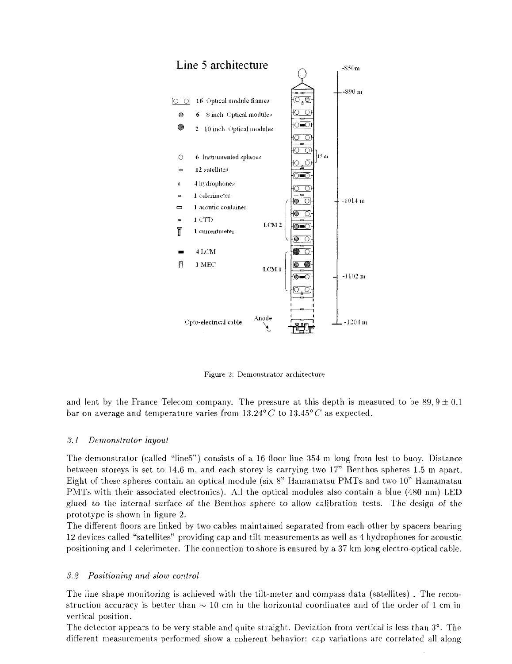

Figure 2: Demonstrator architecture

and lent by the France Telecom company. The pressure at this depth is measured to be  $89, 9 \pm 0.1$ bar on average and temperature varies from 13.24°*C* to 13.45°*C* as expected.

#### *3.1 Demonstrator layout*

The demonstrator (called "Iine5") consists of a 16 floor line 354 m long from lest to buoy. Distance between storeys is set to 14.6 m, and each storey is carrying two 17" Benthos spheres 1.5 m apart. Eight of these spheres contain an optical module (six 8" Hamamatsu PMTs and two 10" Hamamatsu PMTs with their associated electronics). All the optical modules also contain a blue (480 nm) LED glued to the internal surface of the Benthos sphere to allow calibration tests. The design of the prototype is shown in figure 2.

The different floors are linked by two cables maintained separated from each other by spacers bearing 12 devices called "satellites" providing cap and tilt measurements as well as 4 hydrophones for acoustic positioning and 1 celerimeter. The connection to shore is ensured by a 37 km long electro-optical cable.

#### *3.2 Positioning and slow control*

The line shape monitoring is achieved with the tilt-meter and compass data (satellites) . The reconstruction accuracy is better than  $\sim 10$  cm in the horizontal coordinates and of the order of 1 cm in vertical position.

The detector appears to be very stable and quite straight. Deviation from vertical is less than 3°. The different measurements performed show a coherent behavior: cap variations are correlated all along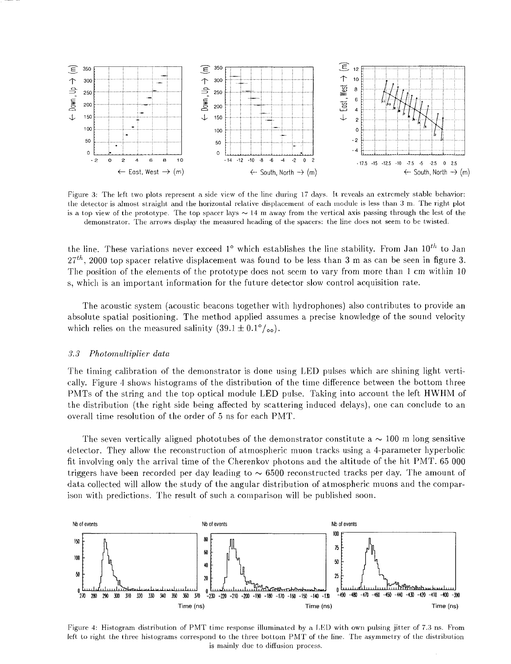

Figure 3: The left two plots represent a side view of the line during 17 days. It reveals an extremely stable behavior: the detector is almost straight and the horizontal relative displacement of each module is less than 3 m. The right plot is a top view of the prototype. The top spacer lays  $\sim 14$  m away from the vertical axis passing through the lest of the demonstrator. The arrows display the measured heading of the spacers: the line does not seem to be twisted.

the line. These variations never exceed 1° which establishes the line stability. From Jan 10<sup>th</sup> to Jan *'27th ,* 2000 top spacer relative displacement was found to be less than 3 m as can be seen in figure 3. The position of the elements of the prototype does not seem to vary from more than 1 cm within 10 s, which is an important information for the future detector slow control acquisition rate.

The acoustic system (acoustic beacons together with hydrophones) also contributes to provide an absolute spatial positioning. The method applied assumes a precise knowledge of the sound velocity which relies on the measured salinity  $(39.1 \pm 0.1\degree/\text{O})$ .

#### *3.3 Photomultiplier data*

The timing calibration of the demonstrator is done using LED pulses which are shining light vertically. Figure *4* shows histograms of the distribution of the time difference between the bottom three PMTs of the string and the top optical module LED pulse. Taking into account the left HWHM of the distribution (the right side being affected by scattering induced delays), one can conclude to an overall time resolution of the order of 5 ns for each PMT.

The seven vertically aligned phototubes of the demonstrator constitute  $a \sim 100$  m long sensitive detector. They allow the reconstruction of atmospheric muon tracks using a 4-parameter hyperbolic fit involving only the arrival time of the Cherenkov photons and the altitude of the hit PMT. 65 000 triggers have been recorded per day leading to  $\sim 6500$  reconstructed tracks per day. The amount of data collected will allow the study of the angular distribution of atmospheric muons and the comparison with predictions. The result of such a comparison will be published soon.



Figure 4: Histogram distribution of PMT time response illuminated by a LED with own pulsing jitter of 7.3 ns. From left to right the three histograms correspond to the three bottom PMT of the line. The asymmetry of the distribution is mainly due to diffusion process.